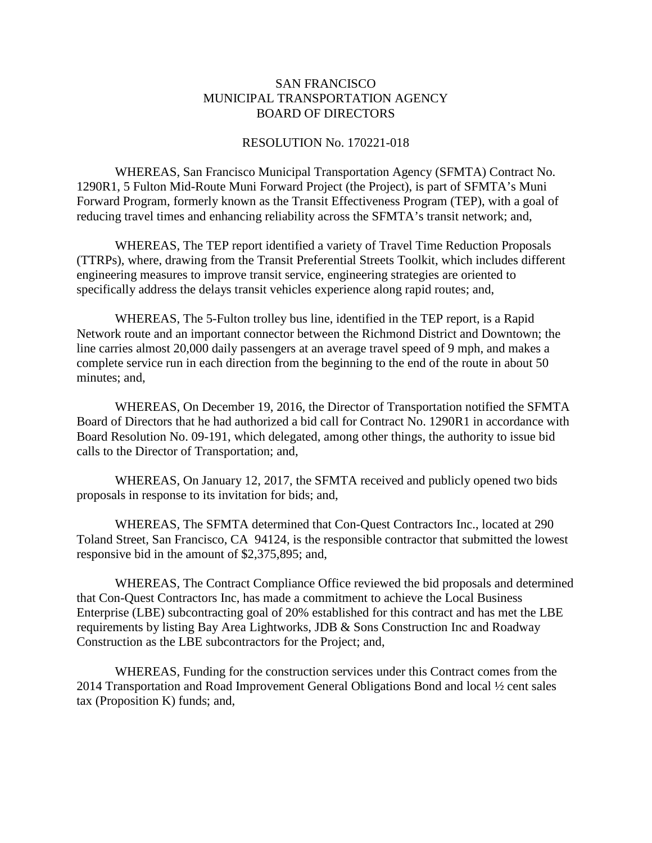## SAN FRANCISCO MUNICIPAL TRANSPORTATION AGENCY BOARD OF DIRECTORS

## RESOLUTION No. 170221-018

WHEREAS, San Francisco Municipal Transportation Agency (SFMTA) Contract No. 1290R1, 5 Fulton Mid-Route Muni Forward Project (the Project), is part of SFMTA's Muni Forward Program, formerly known as the Transit Effectiveness Program (TEP), with a goal of reducing travel times and enhancing reliability across the SFMTA's transit network; and,

WHEREAS, The TEP report identified a variety of Travel Time Reduction Proposals (TTRPs), where, drawing from the Transit Preferential Streets Toolkit, which includes different engineering measures to improve transit service, engineering strategies are oriented to specifically address the delays transit vehicles experience along rapid routes; and,

WHEREAS, The 5-Fulton trolley bus line, identified in the TEP report, is a Rapid Network route and an important connector between the Richmond District and Downtown; the line carries almost 20,000 daily passengers at an average travel speed of 9 mph, and makes a complete service run in each direction from the beginning to the end of the route in about 50 minutes; and,

WHEREAS, On December 19, 2016, the Director of Transportation notified the SFMTA Board of Directors that he had authorized a bid call for Contract No. 1290R1 in accordance with Board Resolution No. 09-191, which delegated, among other things, the authority to issue bid calls to the Director of Transportation; and,

WHEREAS, On January 12, 2017, the SFMTA received and publicly opened two bids proposals in response to its invitation for bids; and,

WHEREAS, The SFMTA determined that Con-Quest Contractors Inc., located at 290 Toland Street, San Francisco, CA 94124, is the responsible contractor that submitted the lowest responsive bid in the amount of \$2,375,895; and,

WHEREAS, The Contract Compliance Office reviewed the bid proposals and determined that Con-Quest Contractors Inc, has made a commitment to achieve the Local Business Enterprise (LBE) subcontracting goal of 20% established for this contract and has met the LBE requirements by listing Bay Area Lightworks, JDB & Sons Construction Inc and Roadway Construction as the LBE subcontractors for the Project; and,

WHEREAS, Funding for the construction services under this Contract comes from the 2014 Transportation and Road Improvement General Obligations Bond and local ½ cent sales tax (Proposition K) funds; and,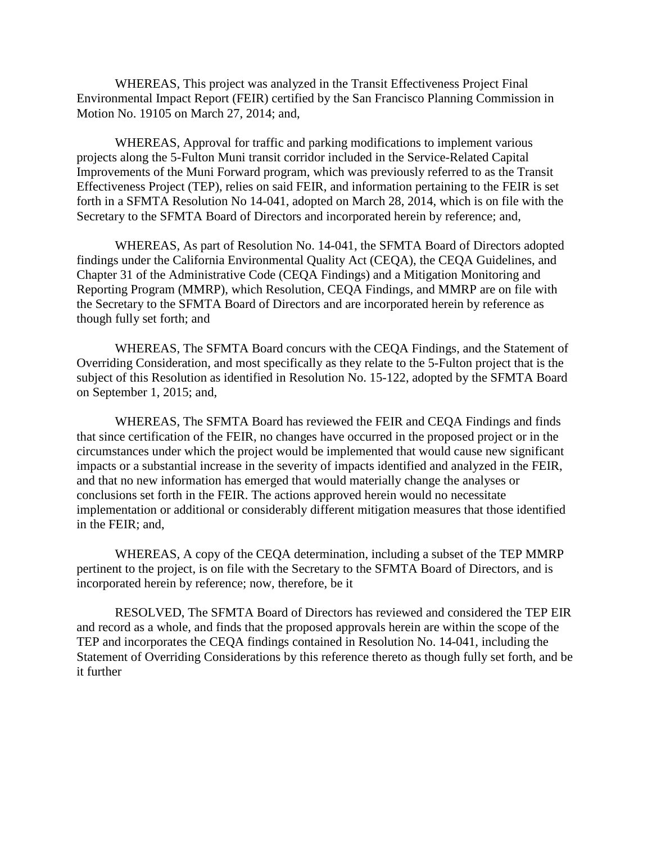WHEREAS, This project was analyzed in the Transit Effectiveness Project Final Environmental Impact Report (FEIR) certified by the San Francisco Planning Commission in Motion No. 19105 on March 27, 2014; and,

WHEREAS, Approval for traffic and parking modifications to implement various projects along the 5-Fulton Muni transit corridor included in the Service-Related Capital Improvements of the Muni Forward program, which was previously referred to as the Transit Effectiveness Project (TEP), relies on said FEIR, and information pertaining to the FEIR is set forth in a SFMTA Resolution No 14-041, adopted on March 28, 2014, which is on file with the Secretary to the SFMTA Board of Directors and incorporated herein by reference; and,

WHEREAS, As part of Resolution No. 14-041, the SFMTA Board of Directors adopted findings under the California Environmental Quality Act (CEQA), the CEQA Guidelines, and Chapter 31 of the Administrative Code (CEQA Findings) and a Mitigation Monitoring and Reporting Program (MMRP), which Resolution, CEQA Findings, and MMRP are on file with the Secretary to the SFMTA Board of Directors and are incorporated herein by reference as though fully set forth; and

WHEREAS, The SFMTA Board concurs with the CEQA Findings, and the Statement of Overriding Consideration, and most specifically as they relate to the 5-Fulton project that is the subject of this Resolution as identified in Resolution No. 15-122, adopted by the SFMTA Board on September 1, 2015; and,

WHEREAS, The SFMTA Board has reviewed the FEIR and CEQA Findings and finds that since certification of the FEIR, no changes have occurred in the proposed project or in the circumstances under which the project would be implemented that would cause new significant impacts or a substantial increase in the severity of impacts identified and analyzed in the FEIR, and that no new information has emerged that would materially change the analyses or conclusions set forth in the FEIR. The actions approved herein would no necessitate implementation or additional or considerably different mitigation measures that those identified in the FEIR; and,

WHEREAS, A copy of the CEQA determination, including a subset of the TEP MMRP pertinent to the project, is on file with the Secretary to the SFMTA Board of Directors, and is incorporated herein by reference; now, therefore, be it

RESOLVED, The SFMTA Board of Directors has reviewed and considered the TEP EIR and record as a whole, and finds that the proposed approvals herein are within the scope of the TEP and incorporates the CEQA findings contained in Resolution No. 14-041, including the Statement of Overriding Considerations by this reference thereto as though fully set forth, and be it further